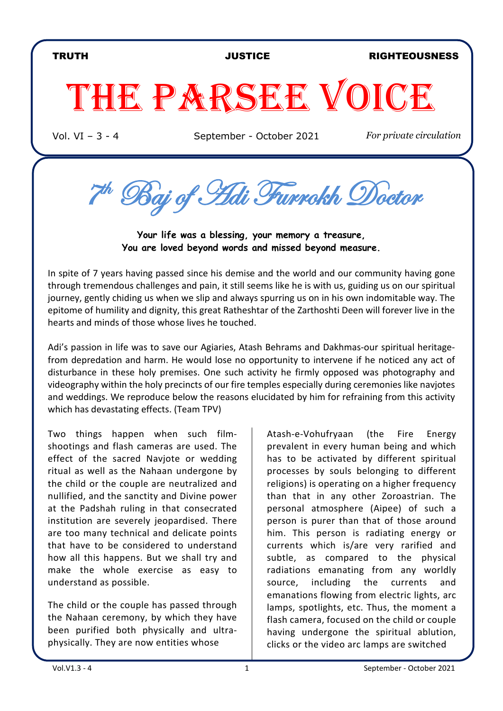### TRUTH JUSTICE RIGHTEOUSNESS

# THE PARSEE VOICE

Vol. VI – 3 - 4 September - October 2021 *For private circulation*

7th Baj of Adi Furrokh Doctor

**Your life was a blessing, your memory a treasure, You are loved beyond words and missed beyond measure.** 

In spite of 7 years having passed since his demise and the world and our community having gone through tremendous challenges and pain, it still seems like he is with us, guiding us on our spiritual journey, gently chiding us when we slip and always spurring us on in his own indomitable way. The epitome of humility and dignity, this great Ratheshtar of the Zarthoshti Deen will forever live in the hearts and minds of those whose lives he touched.

Adi's passion in life was to save our Agiaries, Atash Behrams and Dakhmas-our spiritual heritagefrom depredation and harm. He would lose no opportunity to intervene if he noticed any act of disturbance in these holy premises. One such activity he firmly opposed was photography and videography within the holy precincts of our fire temples especially during ceremonies like navjotes and weddings. We reproduce below the reasons elucidated by him for refraining from this activity which has devastating effects. (Team TPV)

Two things happen when such filmshootings and flash cameras are used. The effect of the sacred Navjote or wedding ritual as well as the Nahaan undergone by the child or the couple are neutralized and nullified, and the sanctity and Divine power at the Padshah ruling in that consecrated institution are severely jeopardised. There are too many technical and delicate points that have to be considered to understand how all this happens. But we shall try and make the whole exercise as easy to understand as possible.

The child or the couple has passed through the Nahaan ceremony, by which they have been purified both physically and ultraphysically. They are now entities whose

Atash-e-Vohufryaan (the Fire Energy prevalent in every human being and which has to be activated by different spiritual processes by souls belonging to different religions) is operating on a higher frequency than that in any other Zoroastrian. The personal atmosphere (Aipee) of such a person is purer than that of those around him. This person is radiating energy or currents which is/are very rarified and subtle, as compared to the physical radiations emanating from any worldly source, including the currents and emanations flowing from electric lights, arc lamps, spotlights, etc. Thus, the moment a flash camera, focused on the child or couple having undergone the spiritual ablution, clicks or the video arc lamps are switched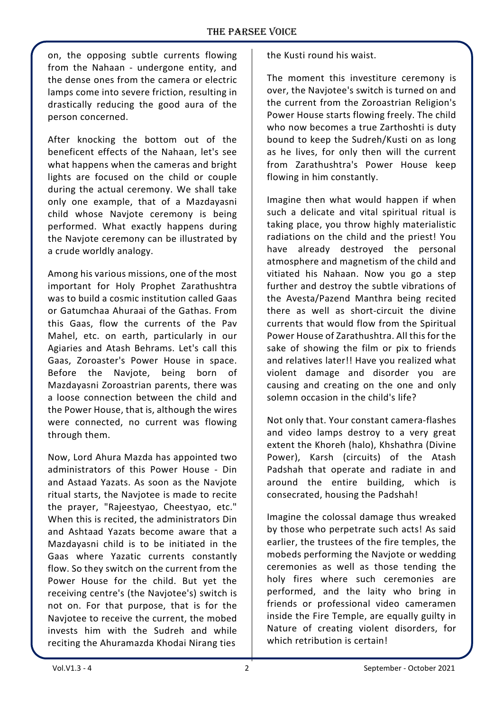on, the opposing subtle currents flowing from the Nahaan - undergone entity, and the dense ones from the camera or electric lamps come into severe friction, resulting in drastically reducing the good aura of the person concerned.

After knocking the bottom out of the beneficent effects of the Nahaan, let's see what happens when the cameras and bright lights are focused on the child or couple during the actual ceremony. We shall take only one example, that of a Mazdayasni child whose Navjote ceremony is being performed. What exactly happens during the Navjote ceremony can be illustrated by a crude worldly analogy.

Among his various missions, one of the most important for Holy Prophet Zarathushtra was to build a cosmic institution called Gaas or Gatumchaa Ahuraai of the Gathas. From this Gaas, flow the currents of the Pav Mahel, etc. on earth, particularly in our Agiaries and Atash Behrams. Let's call this Gaas, Zoroaster's Power House in space. Before the Navjote, being born of Mazdayasni Zoroastrian parents, there was a loose connection between the child and the Power House, that is, although the wires were connected, no current was flowing through them.

Now, Lord Ahura Mazda has appointed two administrators of this Power House - Din and Astaad Yazats. As soon as the Navjote ritual starts, the Navjotee is made to recite the prayer, "Rajeestyao, Cheestyao, etc." When this is recited, the administrators Din and Ashtaad Yazats become aware that a Mazdayasni child is to be initiated in the Gaas where Yazatic currents constantly flow. So they switch on the current from the Power House for the child. But yet the receiving centre's (the Navjotee's) switch is not on. For that purpose, that is for the Naviotee to receive the current, the mobed invests him with the Sudreh and while reciting the Ahuramazda Khodai Nirang ties

the Kusti round his waist.

The moment this investiture ceremony is over, the Navjotee's switch is turned on and the current from the Zoroastrian Religion's Power House starts flowing freely. The child who now becomes a true Zarthoshti is duty bound to keep the Sudreh/Kusti on as long as he lives, for only then will the current from Zarathushtra's Power House keep flowing in him constantly.

Imagine then what would happen if when such a delicate and vital spiritual ritual is taking place, you throw highly materialistic radiations on the child and the priest! You have already destroyed the personal atmosphere and magnetism of the child and vitiated his Nahaan. Now you go a step further and destroy the subtle vibrations of the Avesta/Pazend Manthra being recited there as well as short-circuit the divine currents that would flow from the Spiritual Power House of Zarathushtra. All this for the sake of showing the film or pix to friends and relatives later!! Have you realized what violent damage and disorder you are causing and creating on the one and only solemn occasion in the child's life?

Not only that. Your constant camera-flashes and video lamps destroy to a very great extent the Khoreh (halo), Khshathra (Divine Power), Karsh (circuits) of the Atash Padshah that operate and radiate in and around the entire building, which is consecrated, housing the Padshah!

Imagine the colossal damage thus wreaked by those who perpetrate such acts! As said earlier, the trustees of the fire temples, the mobeds performing the Navjote or wedding ceremonies as well as those tending the holy fires where such ceremonies are performed, and the laity who bring in friends or professional video cameramen inside the Fire Temple, are equally guilty in Nature of creating violent disorders, for which retribution is certain!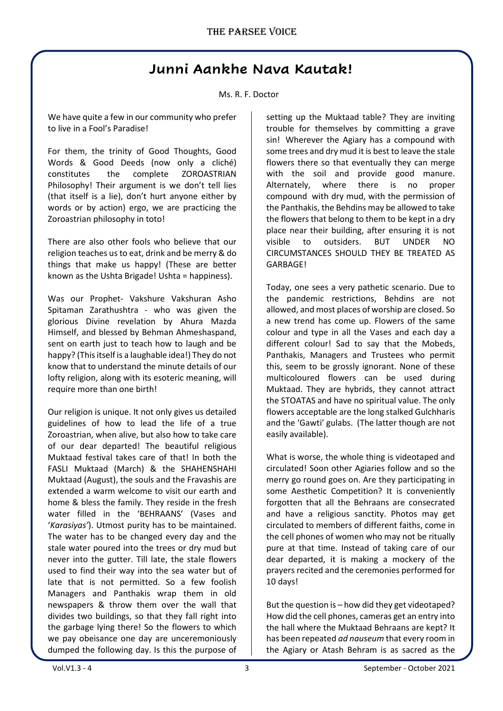# **Junni Aankhe Nava Kautak!**

#### Ms. R. F. Doctor

We have quite a few in our community who prefer to live in a Fool's Paradise!

For them, the trinity of Good Thoughts, Good Words & Good Deeds (now only a cliché) constitutes the complete ZOROASTRIAN Philosophy! Their argument is we don't tell lies (that itself is a lie), don't hurt anyone either by words or by action) ergo, we are practicing the Zoroastrian philosophy in toto!

There are also other fools who believe that our religion teaches us to eat, drink and be merry & do things that make us happy! (These are better known as the Ushta Brigade! Ushta = happiness).

Was our Prophet- Vakshure Vakshuran Asho Spitaman Zarathushtra - who was given the glorious Divine revelation by Ahura Mazda Himself, and blessed by Behman Ahmeshaspand, sent on earth just to teach how to laugh and be happy? (This itself is a laughable idea!) They do not know that to understand the minute details of our lofty religion, along with its esoteric meaning, will require more than one birth!

Our religion is unique. It not only gives us detailed guidelines of how to lead the life of a true Zoroastrian, when alive, but also how to take care of our dear departed! The beautiful religious Muktaad festival takes care of that! In both the FASLI Muktaad (March) & the SHAHENSHAHI Muktaad (August), the souls and the Fravashis are extended a warm welcome to visit our earth and home & bless the family. They reside in the fresh water filled in the 'BEHRAANS' (Vases and '*Karasiyas'*). Utmost purity has to be maintained. The water has to be changed every day and the stale water poured into the trees or dry mud but never into the gutter. Till late, the stale flowers used to find their way into the sea water but of late that is not permitted. So a few foolish Managers and Panthakis wrap them in old newspapers & throw them over the wall that divides two buildings, so that they fall right into the garbage lying there! So the flowers to which we pay obeisance one day are unceremoniously dumped the following day. Is this the purpose of setting up the Muktaad table? They are inviting trouble for themselves by committing a grave sin! Wherever the Agiary has a compound with some trees and dry mud it is best to leave the stale flowers there so that eventually they can merge with the soil and provide good manure. Alternately, where there is no proper compound with dry mud, with the permission of the Panthakis, the Behdins may be allowed to take the flowers that belong to them to be kept in a dry place near their building, after ensuring it is not visible to outsiders. BUT UNDER NO CIRCUMSTANCES SHOULD THEY BE TREATED AS GARBAGE!

Today, one sees a very pathetic scenario. Due to the pandemic restrictions, Behdins are not allowed, and most places of worship are closed. So a new trend has come up. Flowers of the same colour and type in all the Vases and each day a different colour! Sad to say that the Mobeds, Panthakis, Managers and Trustees who permit this, seem to be grossly ignorant. None of these multicoloured flowers can be used during Muktaad. They are hybrids, they cannot attract the STOATAS and have no spiritual value. The only flowers acceptable are the long stalked Gulchharis and the 'Gawti' gulabs. (The latter though are not easily available).

What is worse, the whole thing is videotaped and circulated! Soon other Agiaries follow and so the merry go round goes on. Are they participating in some Aesthetic Competition? It is conveniently forgotten that all the Behraans are consecrated and have a religious sanctity. Photos may get circulated to members of different faiths, come in the cell phones of women who may not be ritually pure at that time. Instead of taking care of our dear departed, it is making a mockery of the prayers recited and the ceremonies performed for 10 days!

But the question is – how did they get videotaped? How did the cell phones, cameras get an entry into the hall where the Muktaad Behraans are kept? It has been repeated *ad nauseum* that every room in the Agiary or Atash Behram is as sacred as the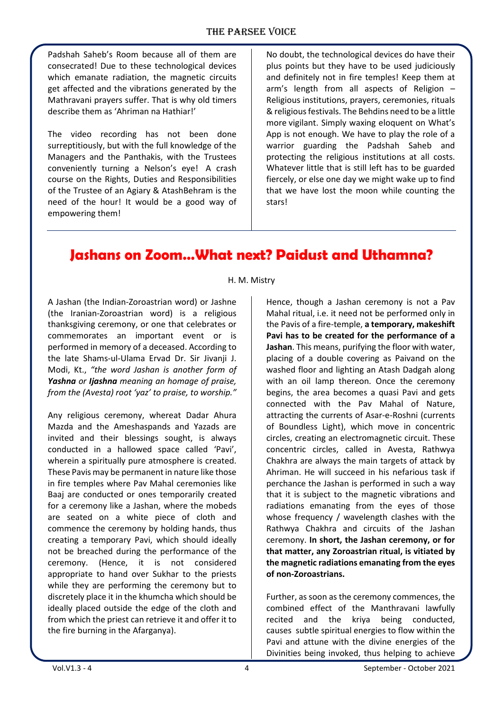Padshah Saheb's Room because all of them are consecrated! Due to these technological devices which emanate radiation, the magnetic circuits get affected and the vibrations generated by the Mathravani prayers suffer. That is why old timers describe them as 'Ahriman na Hathiar!'

The video recording has not been done surreptitiously, but with the full knowledge of the Managers and the Panthakis, with the Trustees conveniently turning a Nelson's eye! A crash course on the Rights, Duties and Responsibilities of the Trustee of an Agiary & AtashBehram is the need of the hour! It would be a good way of empowering them!

No doubt, the technological devices do have their plus points but they have to be used judiciously and definitely not in fire temples! Keep them at arm's length from all aspects of Religion – Religious institutions, prayers, ceremonies, rituals & religious festivals. The Behdins need to be a little more vigilant. Simply waxing eloquent on What's App is not enough. We have to play the role of a warrior guarding the Padshah Saheb and protecting the religious institutions at all costs. Whatever little that is still left has to be guarded fiercely, or else one day we might wake up to find that we have lost the moon while counting the stars!

# **Jashans on Zoom…What next? Paidust and Uthamna?**

H. M. Mistry

A Jashan (the Indian-Zoroastrian word) or Jashne (the Iranian-Zoroastrian word) is a religious thanksgiving ceremony, or one that celebrates or commemorates an important event or is performed in memory of a deceased. According to the late Shams-ul-Ulama Ervad Dr. Sir Jivanji J. Modi, Kt., *"the word Jashan is another form of Yashna or Ijashna meaning an homage of praise, from the (Avesta) root 'yaz' to praise, to worship."*

Any religious ceremony, whereat Dadar Ahura Mazda and the Ameshaspands and Yazads are invited and their blessings sought, is always conducted in a hallowed space called 'Pavi', wherein a spiritually pure atmosphere is created. These Pavis may be permanent in nature like those in fire temples where Pav Mahal ceremonies like Baaj are conducted or ones temporarily created for a ceremony like a Jashan, where the mobeds are seated on a white piece of cloth and commence the ceremony by holding hands, thus creating a temporary Pavi, which should ideally not be breached during the performance of the ceremony. (Hence, it is not considered appropriate to hand over Sukhar to the priests while they are performing the ceremony but to discretely place it in the khumcha which should be ideally placed outside the edge of the cloth and from which the priest can retrieve it and offer it to the fire burning in the Afarganya).

Hence, though a Jashan ceremony is not a Pav Mahal ritual, i.e. it need not be performed only in the Pavis of a fire-temple, **a temporary, makeshift Pavi has to be created for the performance of a Jashan**. This means, purifying the floor with water, placing of a double covering as Paivand on the washed floor and lighting an Atash Dadgah along with an oil lamp thereon. Once the ceremony begins, the area becomes a quasi Pavi and gets connected with the Pav Mahal of Nature, attracting the currents of Asar-e-Roshni (currents of Boundless Light), which move in concentric circles, creating an electromagnetic circuit. These concentric circles, called in Avesta, Rathwya Chakhra are always the main targets of attack by Ahriman. He will succeed in his nefarious task if perchance the Jashan is performed in such a way that it is subject to the magnetic vibrations and radiations emanating from the eyes of those whose frequency / wavelength clashes with the Rathwya Chakhra and circuits of the Jashan ceremony. **In short, the Jashan ceremony, or for that matter, any Zoroastrian ritual, is vitiated by the magnetic radiations emanating from the eyes of non-Zoroastrians.**

Further, as soon as the ceremony commences, the combined effect of the Manthravani lawfully recited and the kriya being conducted, causes subtle spiritual energies to flow within the Pavi and attune with the divine energies of the Divinities being invoked, thus helping to achieve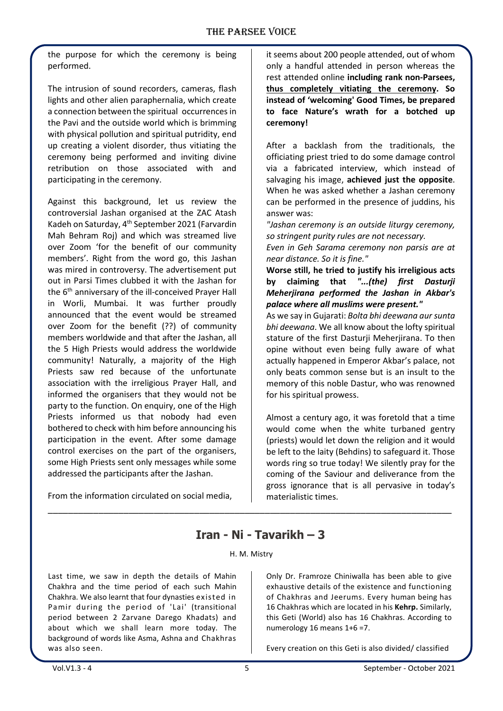the purpose for which the ceremony is being performed.

The intrusion of sound recorders, cameras, flash lights and other alien paraphernalia, which create a connection between the spiritual occurrences in the Pavi and the outside world which is brimming with physical pollution and spiritual putridity, end up creating a violent disorder, thus vitiating the ceremony being performed and inviting divine retribution on those associated with and participating in the ceremony.

Against this background, let us review the controversial Jashan organised at the ZAC Atash Kadeh on Saturday, 4th September 2021 (Farvardin Mah Behram Roj) and which was streamed live over Zoom 'for the benefit of our community members'. Right from the word go, this Jashan was mired in controversy. The advertisement put out in Parsi Times clubbed it with the Jashan for the 6<sup>th</sup> anniversary of the ill-conceived Prayer Hall in Worli, Mumbai. It was further proudly announced that the event would be streamed over Zoom for the benefit (??) of community members worldwide and that after the Jashan, all the 5 High Priests would address the worldwide community! Naturally, a majority of the High Priests saw red because of the unfortunate association with the irreligious Prayer Hall, and informed the organisers that they would not be party to the function. On enquiry, one of the High Priests informed us that nobody had even bothered to check with him before announcing his participation in the event. After some damage control exercises on the part of the organisers, some High Priests sent only messages while some addressed the participants after the Jashan.

From the information circulated on social media,

it seems about 200 people attended, out of whom only a handful attended in person whereas the rest attended online **including rank non-Parsees, thus completely vitiating the ceremony. So instead of 'welcoming' Good Times, be prepared to face Nature's wrath for a botched up ceremony!**

After a backlash from the traditionals, the officiating priest tried to do some damage control via a fabricated interview, which instead of salvaging his image, **achieved just the opposite**. When he was asked whether a Jashan ceremony can be performed in the presence of juddins, his answer was:

*"Jashan ceremony is an outside liturgy ceremony, so stringent purity rules are not necessary.*

*Even in Geh Sarama ceremony non parsis are at near distance. So it is fine."*

**Worse still, he tried to justify his irreligious acts by claiming that** *"...(the) first Dasturji Meherjirana performed the Jashan in Akbar's palace where all muslims were present."*

As we say in Gujarati: *Bolta bhi deewana aur sunta bhi deewana*. We all know about the lofty spiritual stature of the first Dasturji Meherjirana. To then opine without even being fully aware of what actually happened in Emperor Akbar's palace, not only beats common sense but is an insult to the memory of this noble Dastur, who was renowned for his spiritual prowess.

Almost a century ago, it was foretold that a time would come when the white turbaned gentry (priests) would let down the religion and it would be left to the laity (Behdins) to safeguard it. Those words ring so true today! We silently pray for the coming of the Saviour and deliverance from the gross ignorance that is all pervasive in today's materialistic times.

## **Iran - Ni - Tavarikh – 3**

#### H. M. Mistry

\_\_\_\_\_\_\_\_\_\_\_\_\_\_\_\_\_\_\_\_\_\_\_\_\_\_\_\_\_\_\_\_\_\_\_\_\_\_\_\_\_\_\_\_\_\_\_\_\_\_\_\_\_\_\_\_\_\_\_\_\_\_\_\_\_\_\_\_\_\_\_\_\_\_\_\_\_\_\_\_

Last time, we saw in depth the details of Mahin Chakhra and the time period of each such Mahin Chakhra. We also learnt that four dynasties existed in Pamir during the period of 'Lai' (transitional period between 2 Zarvane Darego Khadats) and about which we shall learn more today. The background of words like Asma, Ashna and Chakhras was also seen.

Only Dr. Framroze Chiniwalla has been able to give exhaustive details of the existence and functioning of Chakhras and Jeerums. Every human being has 16 Chakhras which are located in his **Kehrp.** Similarly, this Geti (World) also has 16 Chakhras. According to numerology 16 means 1+6 =7.

Every creation on this Geti is also divided/ classified